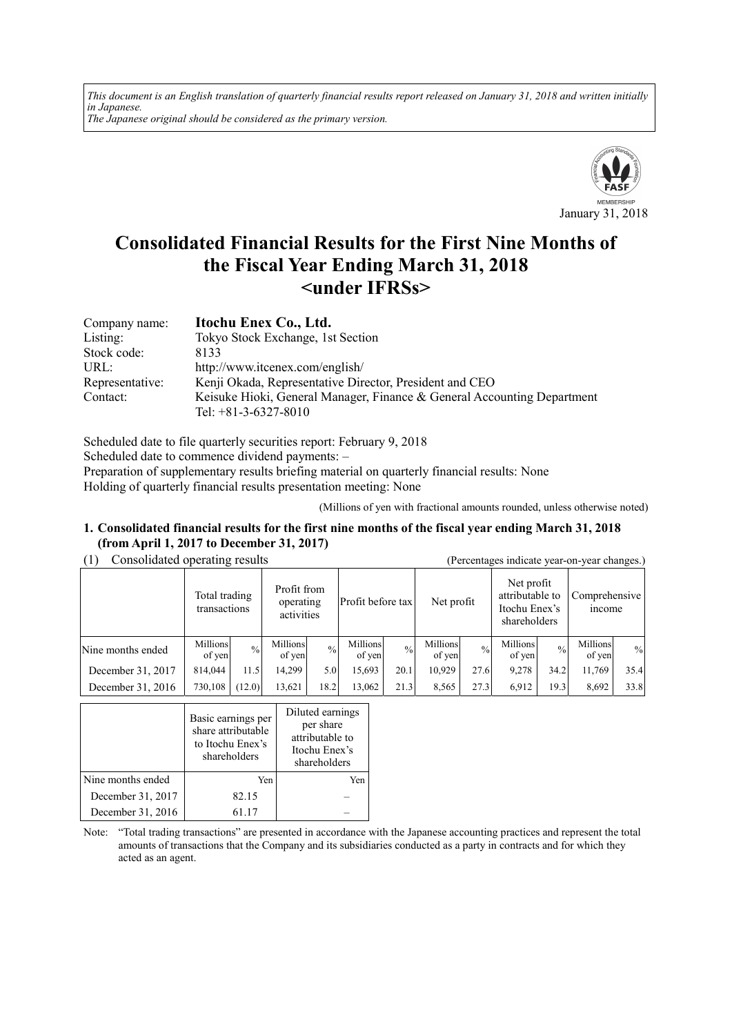*This document is an English translation of quarterly financial results report released on January 31, 2018 and written initially in Japanese. The Japanese original should be considered as the primary version.*



# **Consolidated Financial Results for the First Nine Months of the Fiscal Year Ending March 31, 2018 <under IFRSs>**

| Company name:   | Itochu Enex Co., Ltd.                                                   |
|-----------------|-------------------------------------------------------------------------|
| Listing:        | Tokyo Stock Exchange, 1st Section                                       |
| Stock code:     | 8133                                                                    |
| URL:            | http://www.itcenex.com/english/                                         |
| Representative: | Kenji Okada, Representative Director, President and CEO                 |
| Contact:        | Keisuke Hioki, General Manager, Finance & General Accounting Department |
|                 | Tel: $+81-3-6327-8010$                                                  |

Scheduled date to file quarterly securities report: February 9, 2018 Scheduled date to commence dividend payments: – Preparation of supplementary results briefing material on quarterly financial results: None Holding of quarterly financial results presentation meeting: None

(Millions of yen with fractional amounts rounded, unless otherwise noted)

#### **1. Consolidated financial results for the first nine months of the fiscal year ending March 31, 2018 (from April 1, 2017 to December 31, 2017)**

| (1) |  | Consolidated operating results |
|-----|--|--------------------------------|
|-----|--|--------------------------------|

| Consolidated operating results |                                                                         |               |                    |               |                    | (Percentages indicate year-on-year changes.) |                                                                |               |                         |               |                    |      |
|--------------------------------|-------------------------------------------------------------------------|---------------|--------------------|---------------|--------------------|----------------------------------------------|----------------------------------------------------------------|---------------|-------------------------|---------------|--------------------|------|
|                                | Profit from<br>Total trading<br>operating<br>transactions<br>activities |               | Profit before tax  |               | Net profit         |                                              | Net profit<br>attributable to<br>Itochu Enex's<br>shareholders |               | Comprehensive<br>income |               |                    |      |
| Nine months ended              | Millions<br>of yen                                                      | $\frac{0}{0}$ | Millions<br>of yen | $\frac{0}{0}$ | Millions<br>of yen | $\frac{0}{0}$                                | Millions<br>of yen                                             | $\frac{0}{0}$ | Millions<br>of yen      | $\frac{0}{0}$ | Millions<br>of yen | $\%$ |
| December 31, 2017              | 814.044                                                                 | 11.5          | 14.299             | 5.0           | 15,693             | 20.1                                         | 10,929                                                         | 27.6          | 9,278                   | 34.2          | 11,769             | 35.4 |
| December 31, 2016              | 730,108                                                                 | (12.0)        | 13,621             | 18.2          | 13,062             | 21.3                                         | 8,565                                                          | 27.3          | 6.912                   | 19.3          | 8,692              | 33.8 |

|                   | Basic earnings per<br>share attributable<br>to Itochu Enex's<br>shareholders | Diluted earnings<br>per share<br>attributable to<br>Itochu Enex's<br>shareholders |
|-------------------|------------------------------------------------------------------------------|-----------------------------------------------------------------------------------|
| Nine months ended | Yen                                                                          | Yen                                                                               |
| December 31, 2017 | 82.15                                                                        |                                                                                   |
| December 31, 2016 | 61 17                                                                        |                                                                                   |

Note: "Total trading transactions" are presented in accordance with the Japanese accounting practices and represent the total amounts of transactions that the Company and its subsidiaries conducted as a party in contracts and for which they acted as an agent.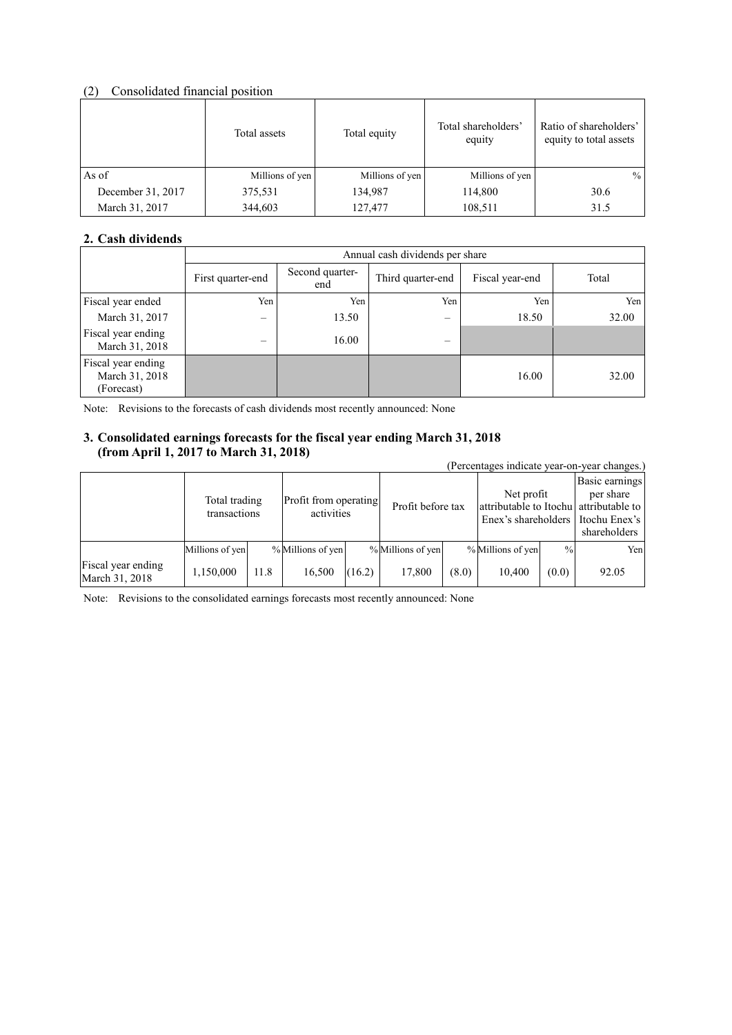# (2) Consolidated financial position

|                   | Total assets    | Total equity    | Total shareholders'<br>equity | Ratio of shareholders'<br>equity to total assets |
|-------------------|-----------------|-----------------|-------------------------------|--------------------------------------------------|
| As of             | Millions of yen | Millions of yen | Millions of yen               | $\%$                                             |
| December 31, 2017 | 375,531         | 134,987         | 114,800                       | 30.6                                             |
| March 31, 2017    | 344,603         | 127,477         | 108,511                       | 31.5                                             |

# **2. Cash dividends**

|                                                    |                          | Annual cash dividends per share |                          |                 |       |  |  |  |
|----------------------------------------------------|--------------------------|---------------------------------|--------------------------|-----------------|-------|--|--|--|
|                                                    | First quarter-end        | Second quarter-<br>end          | Third quarter-end        | Fiscal year-end | Total |  |  |  |
| Fiscal year ended                                  | Yen                      | Yen                             | Yen                      | Yen             | Yen   |  |  |  |
| March 31, 2017                                     | $\overline{\phantom{0}}$ | 13.50                           | $\overline{\phantom{0}}$ | 18.50           | 32.00 |  |  |  |
| Fiscal year ending<br>March 31, 2018               | -                        | 16.00                           |                          |                 |       |  |  |  |
| Fiscal year ending<br>March 31, 2018<br>(Forecast) |                          |                                 |                          | 16.00           | 32.00 |  |  |  |

Note: Revisions to the forecasts of cash dividends most recently announced: None

# **3. Consolidated earnings forecasts for the fiscal year ending March 31, 2018 (from April 1, 2017 to March 31, 2018)**

| $11 \text{ cm}$ $1 \text{ s}$ $1 \text{ m}$ $1 \text{ s}$ $2 \text{ cm}$ to march 91, 2010) |                               |      |                                     | (Percentages indicate year-on-year changes.) |                   |       |                                                                               |               |                                                              |
|---------------------------------------------------------------------------------------------|-------------------------------|------|-------------------------------------|----------------------------------------------|-------------------|-------|-------------------------------------------------------------------------------|---------------|--------------------------------------------------------------|
|                                                                                             | Total trading<br>transactions |      | Profit from operating<br>activities |                                              | Profit before tax |       | Net profit<br>attributable to Itochu attributable to<br>Enex's shareholders I |               | Basic earnings<br>per share<br>Itochu Enex's<br>shareholders |
|                                                                                             | Millions of yen               |      | % Millions of yen                   |                                              | % Millions of yen |       | % Millions of yen                                                             | $\frac{0}{0}$ | Yen                                                          |
| Fiscal year ending<br>March 31, 2018                                                        | 1,150,000                     | 11.8 | 16,500                              | (16.2)                                       | 17,800            | (8.0) | 10,400                                                                        | (0.0)         | 92.05                                                        |

Note: Revisions to the consolidated earnings forecasts most recently announced: None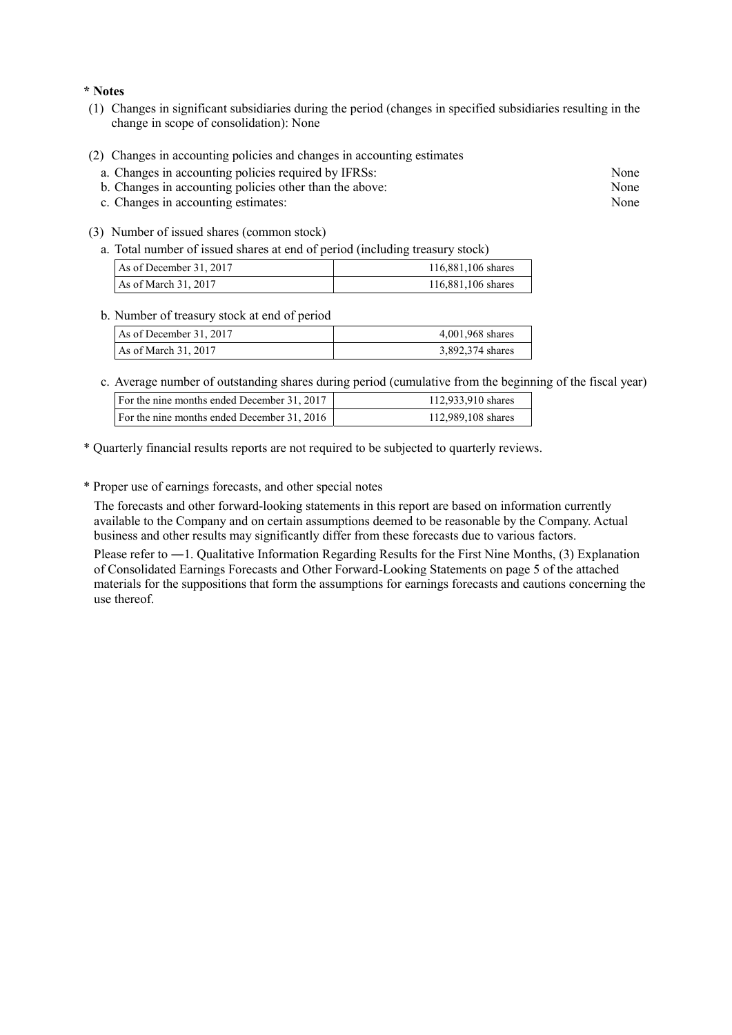**\* Notes** 

- (1) Changes in significant subsidiaries during the period (changes in specified subsidiaries resulting in the change in scope of consolidation): None
- (2) Changes in accounting policies and changes in accounting estimates
	- a. Changes in accounting policies required by IFRSs: None
	- b. Changes in accounting policies other than the above: None
	- c. Changes in accounting estimates: None
- (3) Number of issued shares (common stock)
	- a. Total number of issued shares at end of period (including treasury stock)

| As of December 31, 2017 | 116,881,106 shares |
|-------------------------|--------------------|
| As of March $31, 2017$  | 116,881,106 shares |

#### b. Number of treasury stock at end of period

| As of December 31, 2017 | 4,001,968 shares |
|-------------------------|------------------|
| As of March $31, 2017$  | 3,892,374 shares |

c. Average number of outstanding shares during period (cumulative from the beginning of the fiscal year)

| For the nine months ended December 31, 2017 | 112,933,910 shares |
|---------------------------------------------|--------------------|
| For the nine months ended December 31, 2016 | 112,989,108 shares |

\* Quarterly financial results reports are not required to be subjected to quarterly reviews.

\* Proper use of earnings forecasts, and other special notes

The forecasts and other forward-looking statements in this report are based on information currently available to the Company and on certain assumptions deemed to be reasonable by the Company. Actual business and other results may significantly differ from these forecasts due to various factors.

Please refer to ―1. Qualitative Information Regarding Results for the First Nine Months, (3) Explanation of Consolidated Earnings Forecasts and Other Forward-Looking Statements on page 5 of the attached materials for the suppositions that form the assumptions for earnings forecasts and cautions concerning the use thereof.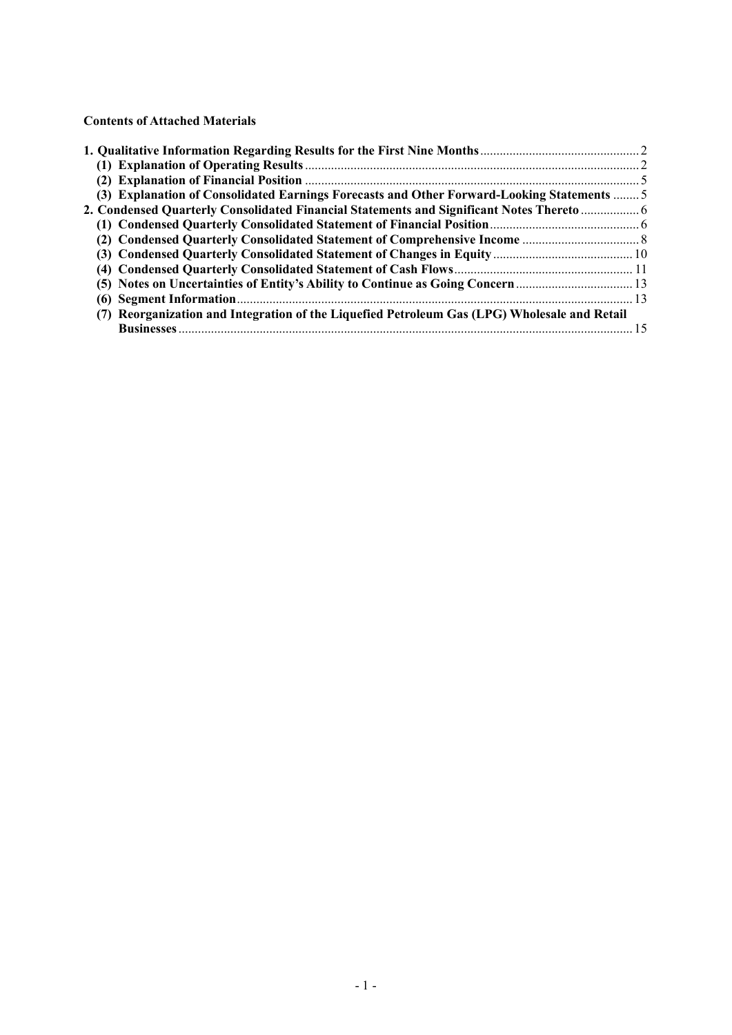**Contents of Attached Materials** 

| (3) Explanation of Consolidated Earnings Forecasts and Other Forward-Looking Statements  5   |  |
|----------------------------------------------------------------------------------------------|--|
| 2. Condensed Quarterly Consolidated Financial Statements and Significant Notes Thereto  6    |  |
|                                                                                              |  |
|                                                                                              |  |
|                                                                                              |  |
|                                                                                              |  |
| (5) Notes on Uncertainties of Entity's Ability to Continue as Going Concern                  |  |
|                                                                                              |  |
| (7) Reorganization and Integration of the Liquefied Petroleum Gas (LPG) Wholesale and Retail |  |
|                                                                                              |  |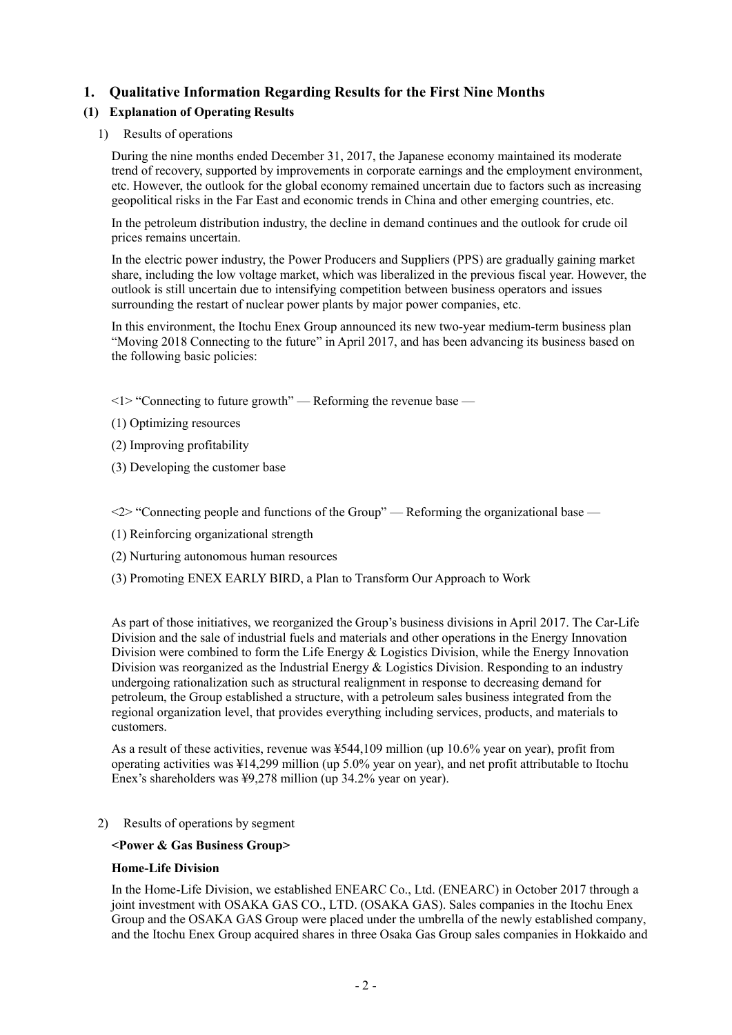# **1. Qualitative Information Regarding Results for the First Nine Months**

# **(1) Explanation of Operating Results**

# 1) Results of operations

During the nine months ended December 31, 2017, the Japanese economy maintained its moderate trend of recovery, supported by improvements in corporate earnings and the employment environment, etc. However, the outlook for the global economy remained uncertain due to factors such as increasing geopolitical risks in the Far East and economic trends in China and other emerging countries, etc.

In the petroleum distribution industry, the decline in demand continues and the outlook for crude oil prices remains uncertain.

In the electric power industry, the Power Producers and Suppliers (PPS) are gradually gaining market share, including the low voltage market, which was liberalized in the previous fiscal year. However, the outlook is still uncertain due to intensifying competition between business operators and issues surrounding the restart of nuclear power plants by major power companies, etc.

In this environment, the Itochu Enex Group announced its new two-year medium-term business plan "Moving 2018 Connecting to the future" in April 2017, and has been advancing its business based on the following basic policies:

 $\langle 1 \rangle$  "Connecting to future growth" — Reforming the revenue base —

(1) Optimizing resources

- (2) Improving profitability
- (3) Developing the customer base

 $\langle 2 \rangle$  "Connecting people and functions of the Group" — Reforming the organizational base —

- (1) Reinforcing organizational strength
- (2) Nurturing autonomous human resources
- (3) Promoting ENEX EARLY BIRD, a Plan to Transform Our Approach to Work

As part of those initiatives, we reorganized the Group's business divisions in April 2017. The Car-Life Division and the sale of industrial fuels and materials and other operations in the Energy Innovation Division were combined to form the Life Energy & Logistics Division, while the Energy Innovation Division was reorganized as the Industrial Energy & Logistics Division. Responding to an industry undergoing rationalization such as structural realignment in response to decreasing demand for petroleum, the Group established a structure, with a petroleum sales business integrated from the regional organization level, that provides everything including services, products, and materials to customers.

As a result of these activities, revenue was ¥544,109 million (up 10.6% year on year), profit from operating activities was ¥14,299 million (up 5.0% year on year), and net profit attributable to Itochu Enex's shareholders was ¥9,278 million (up 34.2% year on year).

2) Results of operations by segment

### **<Power & Gas Business Group>**

### **Home-Life Division**

In the Home-Life Division, we established ENEARC Co., Ltd. (ENEARC) in October 2017 through a joint investment with OSAKA GAS CO., LTD. (OSAKA GAS). Sales companies in the Itochu Enex Group and the OSAKA GAS Group were placed under the umbrella of the newly established company, and the Itochu Enex Group acquired shares in three Osaka Gas Group sales companies in Hokkaido and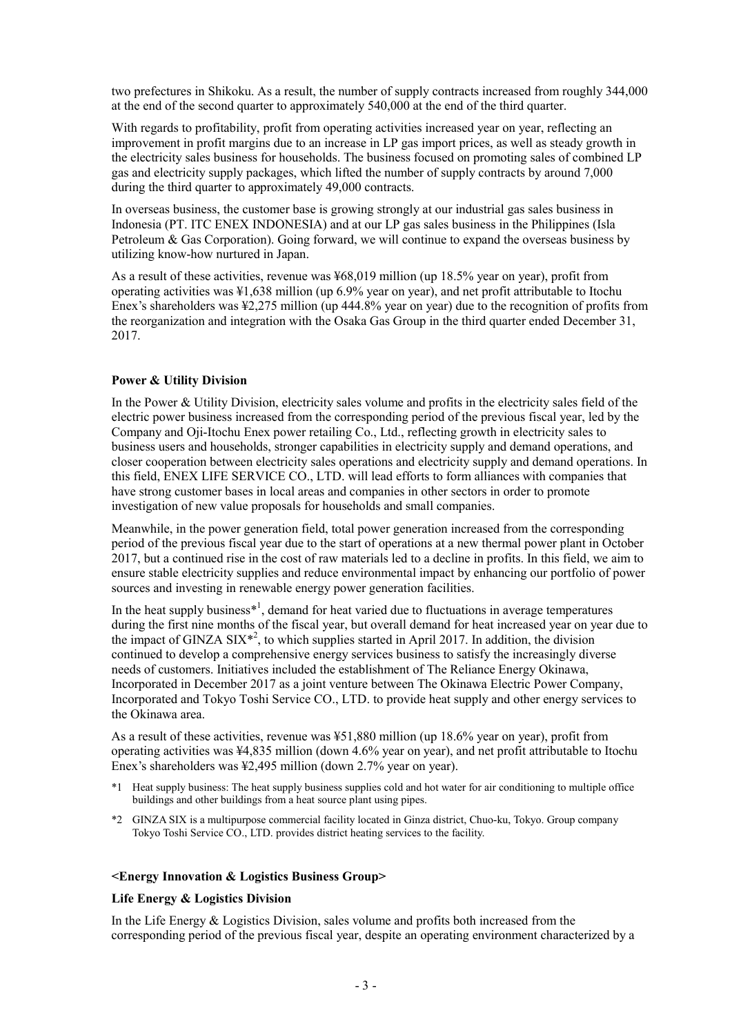two prefectures in Shikoku. As a result, the number of supply contracts increased from roughly 344,000 at the end of the second quarter to approximately 540,000 at the end of the third quarter.

With regards to profitability, profit from operating activities increased year on year, reflecting an improvement in profit margins due to an increase in LP gas import prices, as well as steady growth in the electricity sales business for households. The business focused on promoting sales of combined LP gas and electricity supply packages, which lifted the number of supply contracts by around 7,000 during the third quarter to approximately 49,000 contracts.

In overseas business, the customer base is growing strongly at our industrial gas sales business in Indonesia (PT. ITC ENEX INDONESIA) and at our LP gas sales business in the Philippines (Isla Petroleum & Gas Corporation). Going forward, we will continue to expand the overseas business by utilizing know-how nurtured in Japan.

As a result of these activities, revenue was ¥68,019 million (up 18.5% year on year), profit from operating activities was ¥1,638 million (up 6.9% year on year), and net profit attributable to Itochu Enex's shareholders was ¥2,275 million (up 444.8% year on year) due to the recognition of profits from the reorganization and integration with the Osaka Gas Group in the third quarter ended December 31, 2017.

### **Power & Utility Division**

In the Power & Utility Division, electricity sales volume and profits in the electricity sales field of the electric power business increased from the corresponding period of the previous fiscal year, led by the Company and Oji-Itochu Enex power retailing Co., Ltd., reflecting growth in electricity sales to business users and households, stronger capabilities in electricity supply and demand operations, and closer cooperation between electricity sales operations and electricity supply and demand operations. In this field, ENEX LIFE SERVICE CO., LTD. will lead efforts to form alliances with companies that have strong customer bases in local areas and companies in other sectors in order to promote investigation of new value proposals for households and small companies.

Meanwhile, in the power generation field, total power generation increased from the corresponding period of the previous fiscal year due to the start of operations at a new thermal power plant in October 2017, but a continued rise in the cost of raw materials led to a decline in profits. In this field, we aim to ensure stable electricity supplies and reduce environmental impact by enhancing our portfolio of power sources and investing in renewable energy power generation facilities.

In the heat supply business $*^1$ , demand for heat varied due to fluctuations in average temperatures during the first nine months of the fiscal year, but overall demand for heat increased year on year due to the impact of GINZA  $\text{SIX}^{*2}$ , to which supplies started in April 2017. In addition, the division continued to develop a comprehensive energy services business to satisfy the increasingly diverse needs of customers. Initiatives included the establishment of The Reliance Energy Okinawa, Incorporated in December 2017 as a joint venture between The Okinawa Electric Power Company, Incorporated and Tokyo Toshi Service CO., LTD. to provide heat supply and other energy services to the Okinawa area.

As a result of these activities, revenue was ¥51,880 million (up 18.6% year on year), profit from operating activities was ¥4,835 million (down 4.6% year on year), and net profit attributable to Itochu Enex's shareholders was ¥2,495 million (down 2.7% year on year).

- \*1 Heat supply business: The heat supply business supplies cold and hot water for air conditioning to multiple office buildings and other buildings from a heat source plant using pipes.
- \*2 GINZA SIX is a multipurpose commercial facility located in Ginza district, Chuo-ku, Tokyo. Group company Tokyo Toshi Service CO., LTD. provides district heating services to the facility.

#### **<Energy Innovation & Logistics Business Group>**

#### **Life Energy & Logistics Division**

In the Life Energy & Logistics Division, sales volume and profits both increased from the corresponding period of the previous fiscal year, despite an operating environment characterized by a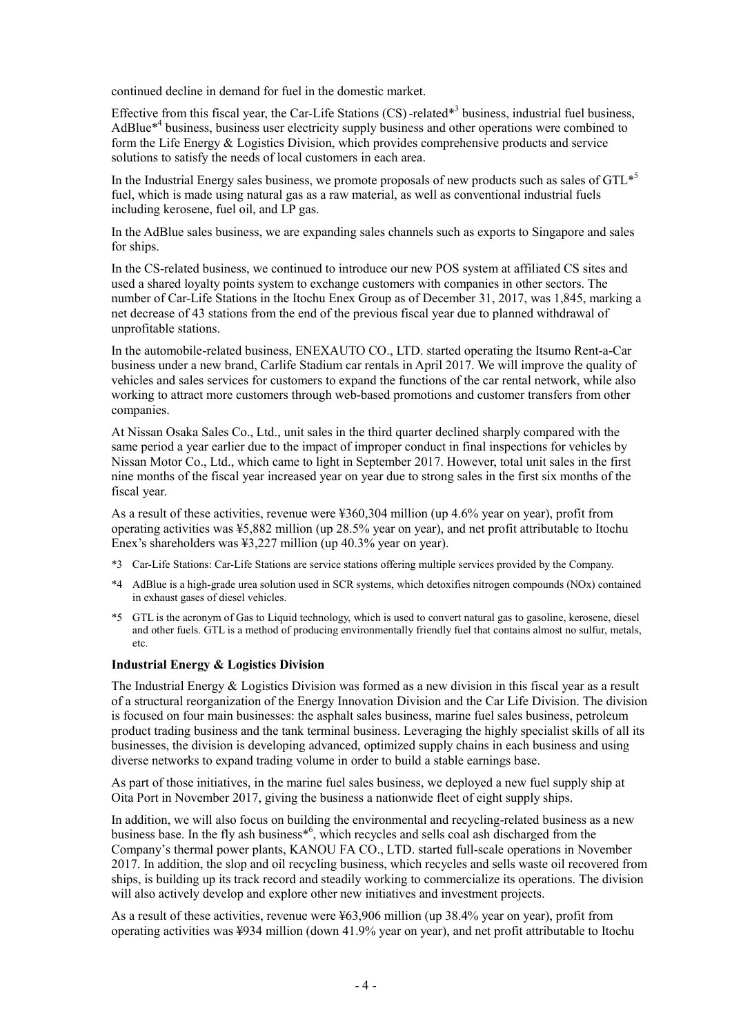continued decline in demand for fuel in the domestic market.

Effective from this fiscal year, the Car-Life Stations (CS)-related<sup>\*3</sup> business, industrial fuel business, AdBlue<sup>\*4</sup> business, business user electricity supply business and other operations were combined to form the Life Energy & Logistics Division, which provides comprehensive products and service solutions to satisfy the needs of local customers in each area.

In the Industrial Energy sales business, we promote proposals of new products such as sales of  $GTL^{*5}$ fuel, which is made using natural gas as a raw material, as well as conventional industrial fuels including kerosene, fuel oil, and LP gas.

In the AdBlue sales business, we are expanding sales channels such as exports to Singapore and sales for ships.

In the CS-related business, we continued to introduce our new POS system at affiliated CS sites and used a shared loyalty points system to exchange customers with companies in other sectors. The number of Car-Life Stations in the Itochu Enex Group as of December 31, 2017, was 1,845, marking a net decrease of 43 stations from the end of the previous fiscal year due to planned withdrawal of unprofitable stations.

In the automobile-related business, ENEXAUTO CO., LTD. started operating the Itsumo Rent-a-Car business under a new brand, Carlife Stadium car rentals in April 2017. We will improve the quality of vehicles and sales services for customers to expand the functions of the car rental network, while also working to attract more customers through web-based promotions and customer transfers from other companies.

At Nissan Osaka Sales Co., Ltd., unit sales in the third quarter declined sharply compared with the same period a year earlier due to the impact of improper conduct in final inspections for vehicles by Nissan Motor Co., Ltd., which came to light in September 2017. However, total unit sales in the first nine months of the fiscal year increased year on year due to strong sales in the first six months of the fiscal year.

As a result of these activities, revenue were ¥360,304 million (up 4.6% year on year), profit from operating activities was ¥5,882 million (up 28.5% year on year), and net profit attributable to Itochu Enex's shareholders was ¥3,227 million (up 40.3% year on year).

- \*3 Car-Life Stations: Car-Life Stations are service stations offering multiple services provided by the Company.
- \*4 AdBlue is a high-grade urea solution used in SCR systems, which detoxifies nitrogen compounds (NOx) contained in exhaust gases of diesel vehicles.
- \*5 GTL is the acronym of Gas to Liquid technology, which is used to convert natural gas to gasoline, kerosene, diesel and other fuels. GTL is a method of producing environmentally friendly fuel that contains almost no sulfur, metals, etc.

#### **Industrial Energy & Logistics Division**

The Industrial Energy & Logistics Division was formed as a new division in this fiscal year as a result of a structural reorganization of the Energy Innovation Division and the Car Life Division. The division is focused on four main businesses: the asphalt sales business, marine fuel sales business, petroleum product trading business and the tank terminal business. Leveraging the highly specialist skills of all its businesses, the division is developing advanced, optimized supply chains in each business and using diverse networks to expand trading volume in order to build a stable earnings base.

As part of those initiatives, in the marine fuel sales business, we deployed a new fuel supply ship at Oita Port in November 2017, giving the business a nationwide fleet of eight supply ships.

In addition, we will also focus on building the environmental and recycling-related business as a new business base. In the fly ash business\*6 , which recycles and sells coal ash discharged from the Company's thermal power plants, KANOU FA CO., LTD. started full-scale operations in November 2017. In addition, the slop and oil recycling business, which recycles and sells waste oil recovered from ships, is building up its track record and steadily working to commercialize its operations. The division will also actively develop and explore other new initiatives and investment projects.

As a result of these activities, revenue were ¥63,906 million (up 38.4% year on year), profit from operating activities was ¥934 million (down 41.9% year on year), and net profit attributable to Itochu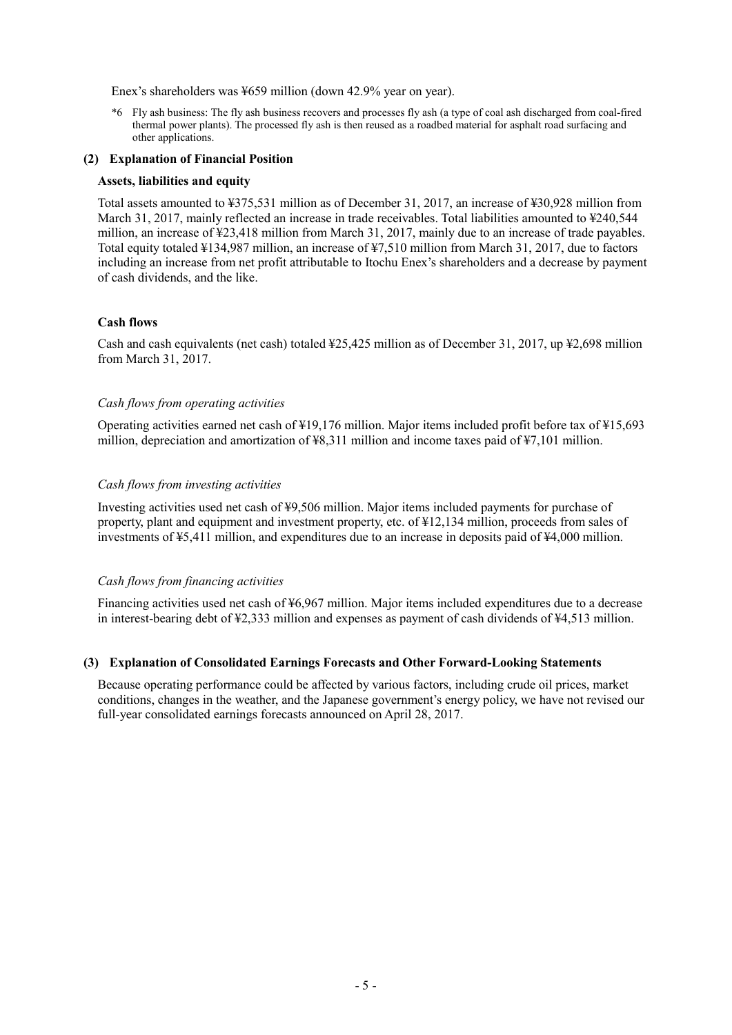Enex's shareholders was ¥659 million (down 42.9% year on year).

\*6 Fly ash business: The fly ash business recovers and processes fly ash (a type of coal ash discharged from coal-fired thermal power plants). The processed fly ash is then reused as a roadbed material for asphalt road surfacing and other applications.

#### **(2) Explanation of Financial Position**

#### **Assets, liabilities and equity**

Total assets amounted to ¥375,531 million as of December 31, 2017, an increase of ¥30,928 million from March 31, 2017, mainly reflected an increase in trade receivables. Total liabilities amounted to \times\$240,544 million, an increase of ¥23,418 million from March 31, 2017, mainly due to an increase of trade payables. Total equity totaled ¥134,987 million, an increase of ¥7,510 million from March 31, 2017, due to factors including an increase from net profit attributable to Itochu Enex's shareholders and a decrease by payment of cash dividends, and the like.

#### **Cash flows**

Cash and cash equivalents (net cash) totaled ¥25,425 million as of December 31, 2017, up ¥2,698 million from March 31, 2017.

#### *Cash flows from operating activities*

Operating activities earned net cash of ¥19,176 million. Major items included profit before tax of ¥15,693 million, depreciation and amortization of ¥8,311 million and income taxes paid of ¥7,101 million.

#### *Cash flows from investing activities*

Investing activities used net cash of ¥9,506 million. Major items included payments for purchase of property, plant and equipment and investment property, etc. of ¥12,134 million, proceeds from sales of investments of ¥5,411 million, and expenditures due to an increase in deposits paid of ¥4,000 million.

#### *Cash flows from financing activities*

Financing activities used net cash of ¥6,967 million. Major items included expenditures due to a decrease in interest-bearing debt of ¥2,333 million and expenses as payment of cash dividends of ¥4,513 million.

#### **(3) Explanation of Consolidated Earnings Forecasts and Other Forward-Looking Statements**

Because operating performance could be affected by various factors, including crude oil prices, market conditions, changes in the weather, and the Japanese government's energy policy, we have not revised our full-year consolidated earnings forecasts announced on April 28, 2017.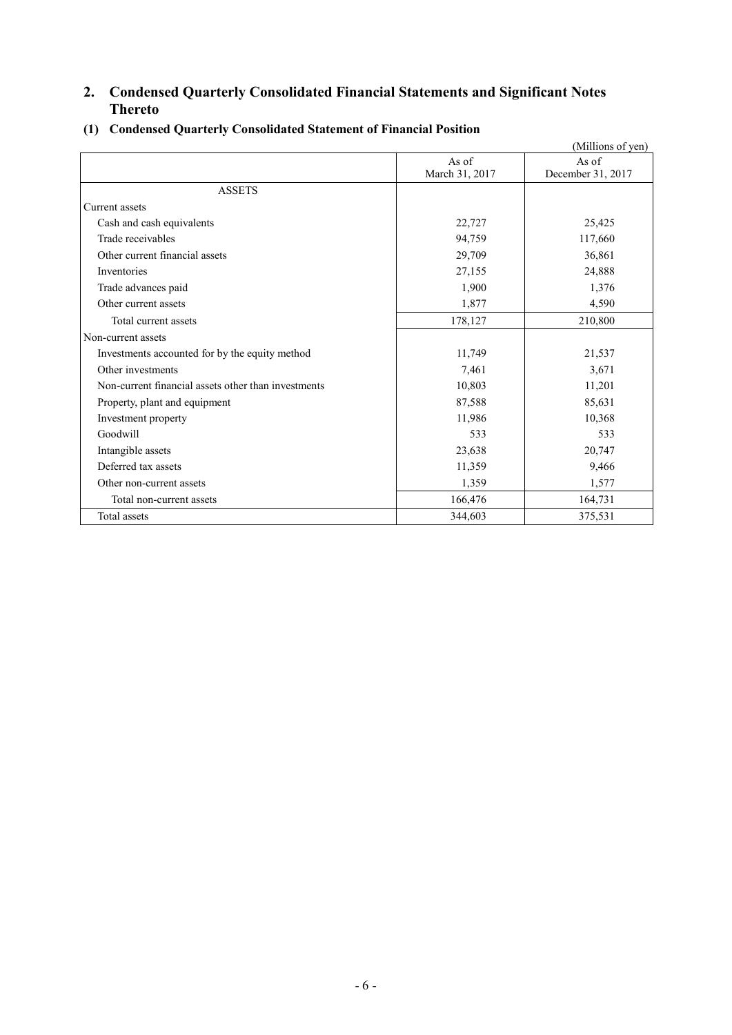# **2. Condensed Quarterly Consolidated Financial Statements and Significant Notes Thereto**

|                                                     |                | (Millions of yen) |
|-----------------------------------------------------|----------------|-------------------|
|                                                     | As of          | As of             |
|                                                     | March 31, 2017 | December 31, 2017 |
| <b>ASSETS</b>                                       |                |                   |
| Current assets                                      |                |                   |
| Cash and cash equivalents                           | 22,727         | 25,425            |
| Trade receivables                                   | 94,759         | 117,660           |
| Other current financial assets                      | 29,709         | 36,861            |
| Inventories                                         | 27,155         | 24,888            |
| Trade advances paid                                 | 1,900          | 1,376             |
| Other current assets                                | 1,877          | 4,590             |
| Total current assets                                | 178,127        | 210,800           |
| Non-current assets                                  |                |                   |
| Investments accounted for by the equity method      | 11,749         | 21,537            |
| Other investments                                   | 7,461          | 3,671             |
| Non-current financial assets other than investments | 10,803         | 11,201            |
| Property, plant and equipment                       | 87,588         | 85,631            |
| Investment property                                 | 11,986         | 10,368            |
| Goodwill                                            | 533            | 533               |
| Intangible assets                                   | 23,638         | 20,747            |
| Deferred tax assets                                 | 11,359         | 9,466             |
| Other non-current assets                            | 1,359          | 1,577             |
| Total non-current assets                            | 166,476        | 164,731           |
| Total assets                                        | 344,603        | 375,531           |

# **(1) Condensed Quarterly Consolidated Statement of Financial Position**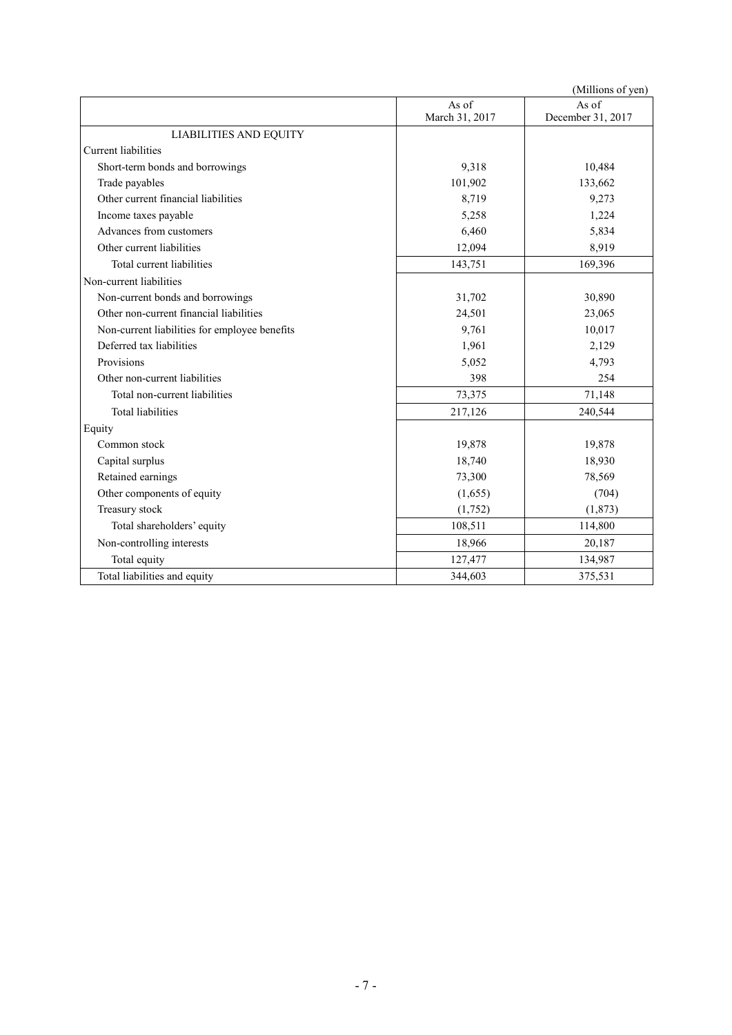|                                               |                | (Millions of yen) |
|-----------------------------------------------|----------------|-------------------|
|                                               | As of          | As of             |
|                                               | March 31, 2017 | December 31, 2017 |
| <b>LIABILITIES AND EQUITY</b>                 |                |                   |
| Current liabilities                           |                |                   |
| Short-term bonds and borrowings               | 9,318          | 10,484            |
| Trade payables                                | 101,902        | 133,662           |
| Other current financial liabilities           | 8,719          | 9,273             |
| Income taxes payable                          | 5,258          | 1,224             |
| Advances from customers                       | 6,460          | 5,834             |
| Other current liabilities                     | 12,094         | 8,919             |
| Total current liabilities                     | 143,751        | 169,396           |
| Non-current liabilities                       |                |                   |
| Non-current bonds and borrowings              | 31,702         | 30,890            |
| Other non-current financial liabilities       | 24,501         | 23,065            |
| Non-current liabilities for employee benefits | 9,761          | 10,017            |
| Deferred tax liabilities                      | 1,961          | 2,129             |
| Provisions                                    | 5,052          | 4,793             |
| Other non-current liabilities                 | 398            | 254               |
| Total non-current liabilities                 | 73,375         | 71,148            |
| <b>Total liabilities</b>                      | 217,126        | 240,544           |
| Equity                                        |                |                   |
| Common stock                                  | 19,878         | 19,878            |
| Capital surplus                               | 18,740         | 18,930            |
| Retained earnings                             | 73,300         | 78,569            |
| Other components of equity                    | (1,655)        | (704)             |
| Treasury stock                                | (1,752)        | (1, 873)          |
| Total shareholders' equity                    | 108,511        | 114,800           |
| Non-controlling interests                     | 18,966         | 20,187            |
| Total equity                                  | 127,477        | 134,987           |
| Total liabilities and equity                  | 344,603        | 375,531           |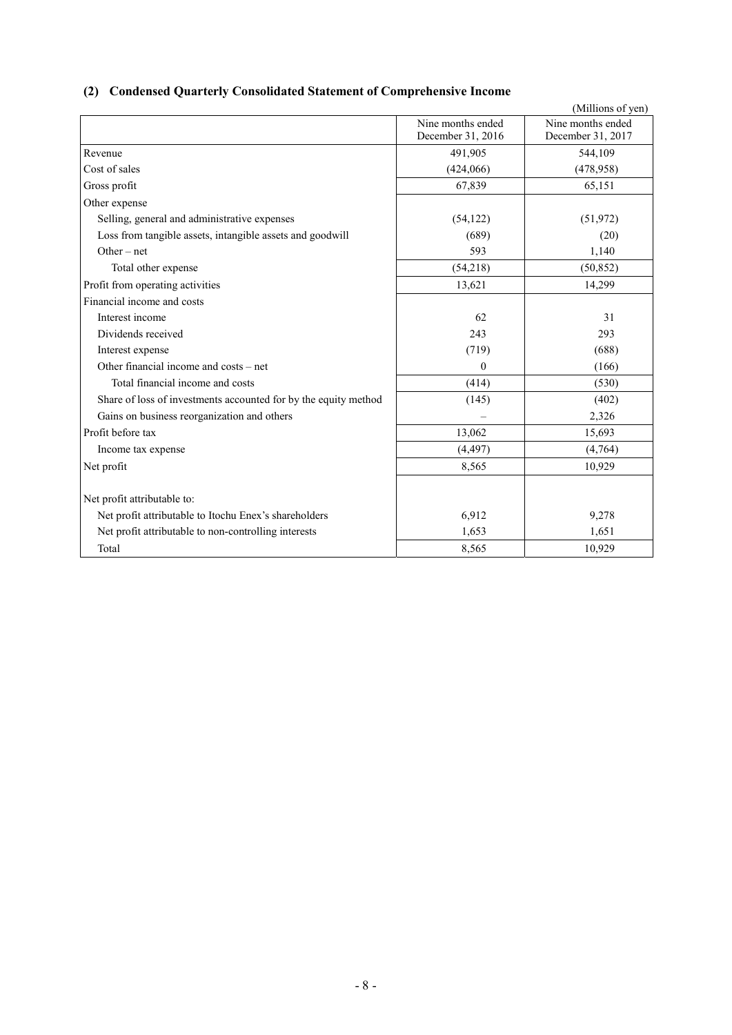# **(2) Condensed Quarterly Consolidated Statement of Comprehensive Income**

|                                                                 |                                        | (Millions of yen)                      |
|-----------------------------------------------------------------|----------------------------------------|----------------------------------------|
|                                                                 | Nine months ended<br>December 31, 2016 | Nine months ended<br>December 31, 2017 |
| Revenue                                                         | 491,905                                | 544,109                                |
| Cost of sales                                                   | (424,066)                              | (478.958)                              |
| Gross profit                                                    | 67,839                                 | 65,151                                 |
| Other expense                                                   |                                        |                                        |
| Selling, general and administrative expenses                    | (54, 122)                              | (51, 972)                              |
| Loss from tangible assets, intangible assets and goodwill       | (689)                                  | (20)                                   |
| Other – net                                                     | 593                                    | 1,140                                  |
| Total other expense                                             | (54,218)                               | (50, 852)                              |
| Profit from operating activities                                | 13,621                                 | 14,299                                 |
| Financial income and costs                                      |                                        |                                        |
| Interest income                                                 | 62                                     | 31                                     |
| Dividends received                                              | 243                                    | 293                                    |
| Interest expense                                                | (719)                                  | (688)                                  |
| Other financial income and costs – net                          | $\theta$                               | (166)                                  |
| Total financial income and costs                                | (414)                                  | (530)                                  |
| Share of loss of investments accounted for by the equity method | (145)                                  | (402)                                  |
| Gains on business reorganization and others                     |                                        | 2,326                                  |
| Profit before tax                                               | 13,062                                 | 15,693                                 |
| Income tax expense                                              | (4, 497)                               | (4,764)                                |
| Net profit                                                      | 8,565                                  | 10,929                                 |
| Net profit attributable to:                                     |                                        |                                        |
| Net profit attributable to Itochu Enex's shareholders           | 6,912                                  | 9,278                                  |
| Net profit attributable to non-controlling interests            | 1,653                                  | 1,651                                  |
| Total                                                           | 8,565                                  | 10,929                                 |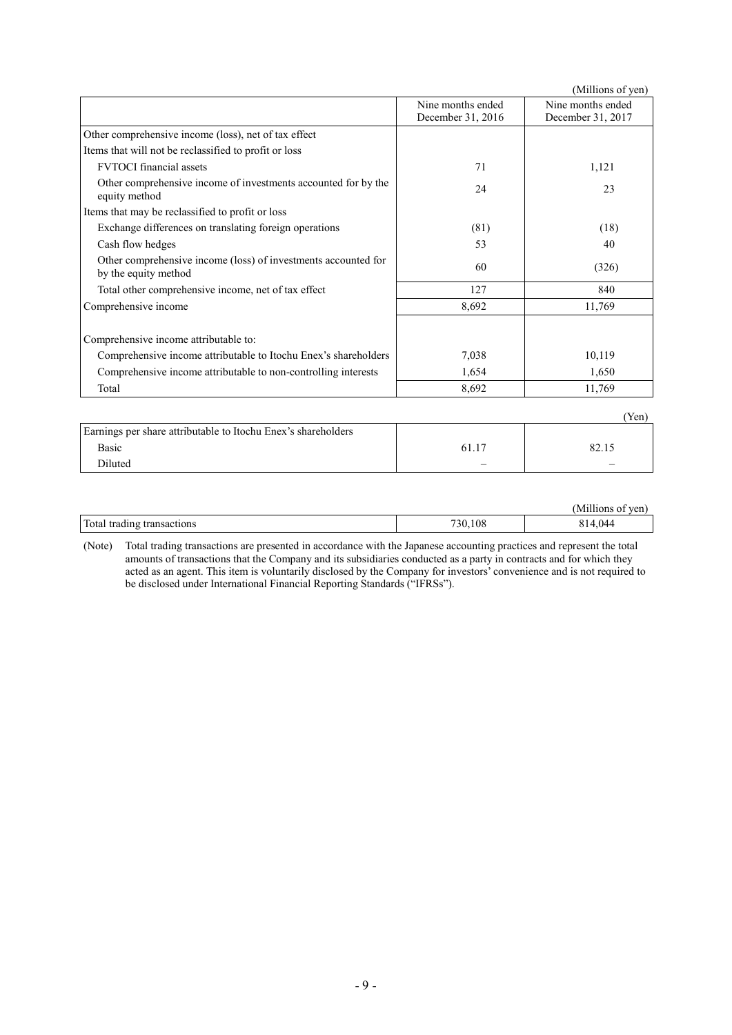|                                                                                                                |                                        | (Millions of yen)                      |
|----------------------------------------------------------------------------------------------------------------|----------------------------------------|----------------------------------------|
|                                                                                                                | Nine months ended<br>December 31, 2016 | Nine months ended<br>December 31, 2017 |
| Other comprehensive income (loss), net of tax effect                                                           |                                        |                                        |
| Items that will not be reclassified to profit or loss                                                          |                                        |                                        |
| <b>FVTOCI</b> financial assets                                                                                 | 71                                     | 1,121                                  |
| Other comprehensive income of investments accounted for by the<br>equity method                                | 24                                     | 23                                     |
| Items that may be reclassified to profit or loss                                                               |                                        |                                        |
| Exchange differences on translating foreign operations                                                         | (81)                                   | (18)                                   |
| Cash flow hedges                                                                                               | 53                                     | 40                                     |
| Other comprehensive income (loss) of investments accounted for<br>by the equity method                         | 60                                     | (326)                                  |
| Total other comprehensive income, net of tax effect                                                            | 127                                    | 840                                    |
| Comprehensive income                                                                                           | 8,692                                  | 11,769                                 |
| Comprehensive income attributable to:                                                                          |                                        |                                        |
| Comprehensive income attributable to Itochu Enex's shareholders                                                | 7,038                                  | 10,119                                 |
| Comprehensive income attributable to non-controlling interests                                                 | 1,654                                  | 1,650                                  |
| Total                                                                                                          | 8,692                                  | 11,769                                 |
|                                                                                                                |                                        | (Yen)                                  |
| $\sim$ , and $\sim$ , and $\sim$ , and $\sim$ , and $\sim$ , and $\sim$ , and $\sim$ , and $\sim$ , and $\sim$ |                                        |                                        |

| Earnings per share attributable to Itochu Enex's shareholders |                          |                          |
|---------------------------------------------------------------|--------------------------|--------------------------|
| <b>Basic</b>                                                  |                          |                          |
| Diluted                                                       | $\overline{\phantom{a}}$ | $\overline{\phantom{a}}$ |
|                                                               |                          |                          |

|                               |         | -----<br>Millions<br>ven |
|-------------------------------|---------|--------------------------|
| Total<br>trading transactions | 730,108 | .044                     |

(Note) Total trading transactions are presented in accordance with the Japanese accounting practices and represent the total amounts of transactions that the Company and its subsidiaries conducted as a party in contracts and for which they acted as an agent. This item is voluntarily disclosed by the Company for investors' convenience and is not required to be disclosed under International Financial Reporting Standards ("IFRSs").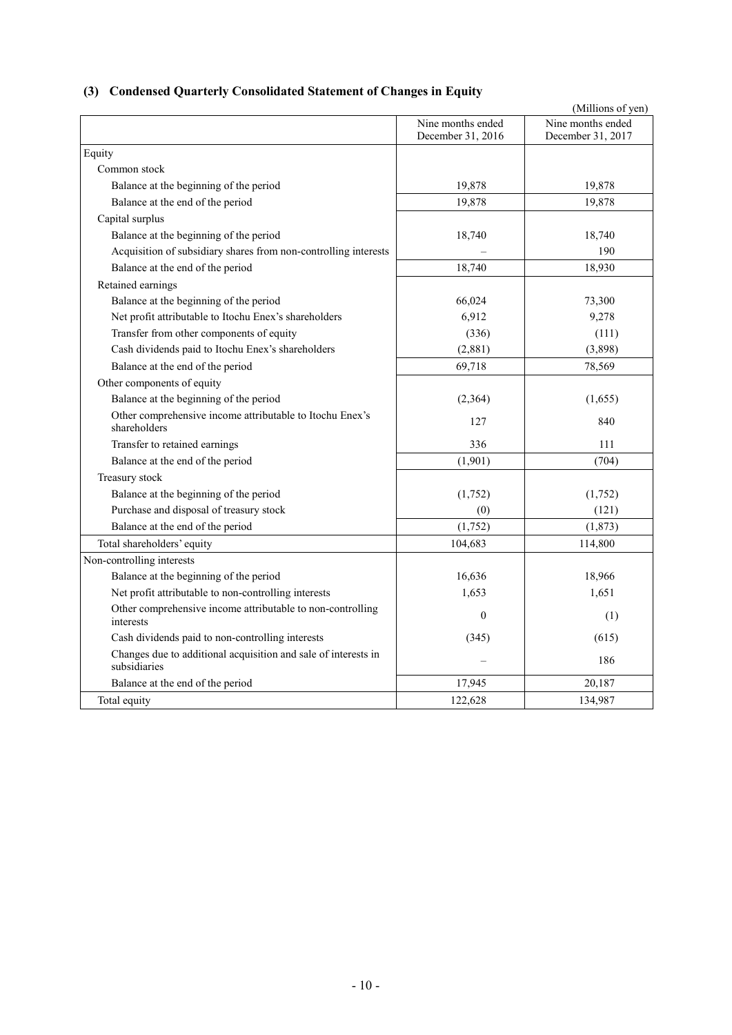# **(3) Condensed Quarterly Consolidated Statement of Changes in Equity**

|                                                                                |                                        | (Millions of yen)                      |
|--------------------------------------------------------------------------------|----------------------------------------|----------------------------------------|
|                                                                                | Nine months ended<br>December 31, 2016 | Nine months ended<br>December 31, 2017 |
| Equity                                                                         |                                        |                                        |
| Common stock                                                                   |                                        |                                        |
| Balance at the beginning of the period                                         | 19,878                                 | 19,878                                 |
| Balance at the end of the period                                               | 19,878                                 | 19,878                                 |
| Capital surplus                                                                |                                        |                                        |
| Balance at the beginning of the period                                         | 18,740                                 | 18,740                                 |
| Acquisition of subsidiary shares from non-controlling interests                |                                        | 190                                    |
| Balance at the end of the period                                               | 18,740                                 | 18,930                                 |
| Retained earnings                                                              |                                        |                                        |
| Balance at the beginning of the period                                         | 66,024                                 | 73,300                                 |
| Net profit attributable to Itochu Enex's shareholders                          | 6,912                                  | 9,278                                  |
| Transfer from other components of equity                                       | (336)                                  | (111)                                  |
| Cash dividends paid to Itochu Enex's shareholders                              | (2,881)                                | (3,898)                                |
| Balance at the end of the period                                               | 69,718                                 | 78,569                                 |
| Other components of equity                                                     |                                        |                                        |
| Balance at the beginning of the period                                         | (2,364)                                | (1,655)                                |
| Other comprehensive income attributable to Itochu Enex's<br>shareholders       | 127                                    | 840                                    |
| Transfer to retained earnings                                                  | 336                                    | 111                                    |
| Balance at the end of the period                                               | (1,901)                                | (704)                                  |
| Treasury stock                                                                 |                                        |                                        |
| Balance at the beginning of the period                                         | (1,752)                                | (1,752)                                |
| Purchase and disposal of treasury stock                                        | (0)                                    | (121)                                  |
| Balance at the end of the period                                               | (1,752)                                | (1, 873)                               |
| Total shareholders' equity                                                     | 104,683                                | 114,800                                |
| Non-controlling interests                                                      |                                        |                                        |
| Balance at the beginning of the period                                         | 16,636                                 | 18,966                                 |
| Net profit attributable to non-controlling interests                           | 1,653                                  | 1,651                                  |
| Other comprehensive income attributable to non-controlling<br>interests        | $\theta$                               | (1)                                    |
| Cash dividends paid to non-controlling interests                               | (345)                                  | (615)                                  |
| Changes due to additional acquisition and sale of interests in<br>subsidiaries |                                        | 186                                    |
| Balance at the end of the period                                               | 17,945                                 | 20,187                                 |
| Total equity                                                                   | 122,628                                | 134,987                                |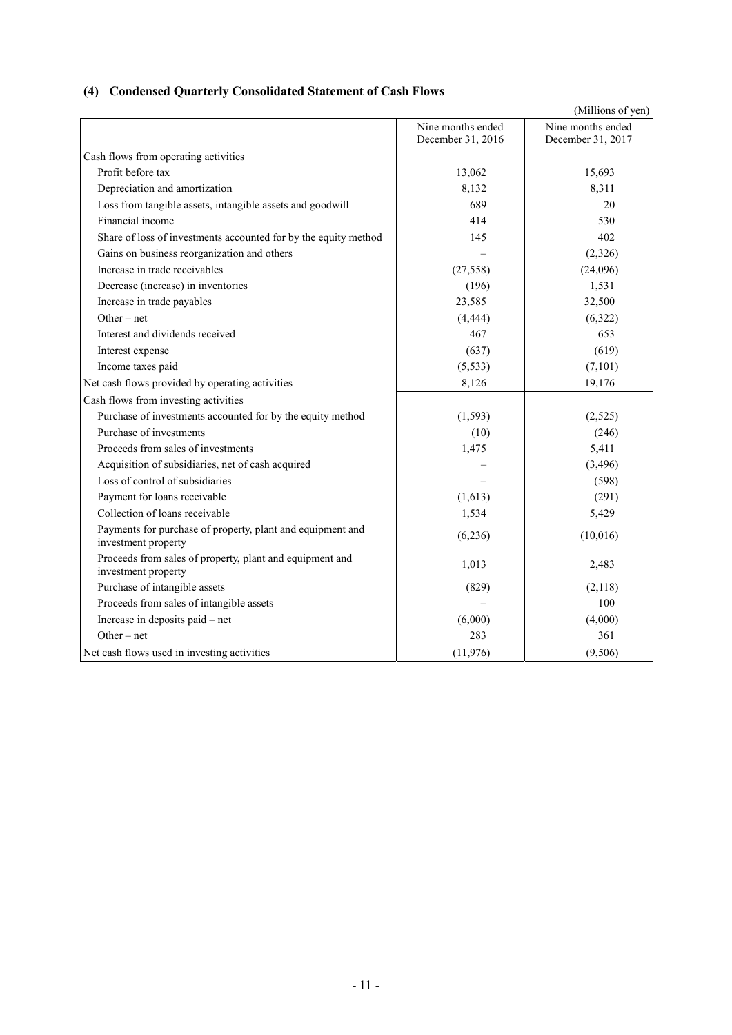# **(4) Condensed Quarterly Consolidated Statement of Cash Flows**

|                                                                                   |                                        | (Millions of yen)                      |
|-----------------------------------------------------------------------------------|----------------------------------------|----------------------------------------|
|                                                                                   | Nine months ended<br>December 31, 2016 | Nine months ended<br>December 31, 2017 |
| Cash flows from operating activities                                              |                                        |                                        |
| Profit before tax                                                                 | 13,062                                 | 15,693                                 |
| Depreciation and amortization                                                     | 8,132                                  | 8,311                                  |
| Loss from tangible assets, intangible assets and goodwill                         | 689                                    | 20                                     |
| Financial income                                                                  | 414                                    | 530                                    |
| Share of loss of investments accounted for by the equity method                   | 145                                    | 402                                    |
| Gains on business reorganization and others                                       |                                        | (2,326)                                |
| Increase in trade receivables                                                     | (27, 558)                              | (24,096)                               |
| Decrease (increase) in inventories                                                | (196)                                  | 1,531                                  |
| Increase in trade payables                                                        | 23,585                                 | 32,500                                 |
| $Other-net$                                                                       | (4, 444)                               | (6,322)                                |
| Interest and dividends received                                                   | 467                                    | 653                                    |
| Interest expense                                                                  | (637)                                  | (619)                                  |
| Income taxes paid                                                                 | (5, 533)                               | (7,101)                                |
| Net cash flows provided by operating activities                                   | 8,126                                  | 19,176                                 |
| Cash flows from investing activities                                              |                                        |                                        |
| Purchase of investments accounted for by the equity method                        | (1, 593)                               | (2,525)                                |
| Purchase of investments                                                           | (10)                                   | (246)                                  |
| Proceeds from sales of investments                                                | 1,475                                  | 5,411                                  |
| Acquisition of subsidiaries, net of cash acquired                                 |                                        | (3, 496)                               |
| Loss of control of subsidiaries                                                   |                                        | (598)                                  |
| Payment for loans receivable                                                      | (1,613)                                | (291)                                  |
| Collection of loans receivable                                                    | 1,534                                  | 5,429                                  |
| Payments for purchase of property, plant and equipment and<br>investment property | (6,236)                                | (10,016)                               |
| Proceeds from sales of property, plant and equipment and<br>investment property   | 1,013                                  | 2,483                                  |
| Purchase of intangible assets                                                     | (829)                                  | (2,118)                                |
| Proceeds from sales of intangible assets                                          |                                        | 100                                    |
| Increase in deposits paid – net                                                   | (6,000)                                | (4,000)                                |
| $Other-net$                                                                       | 283                                    | 361                                    |
| Net cash flows used in investing activities                                       | (11, 976)                              | (9,506)                                |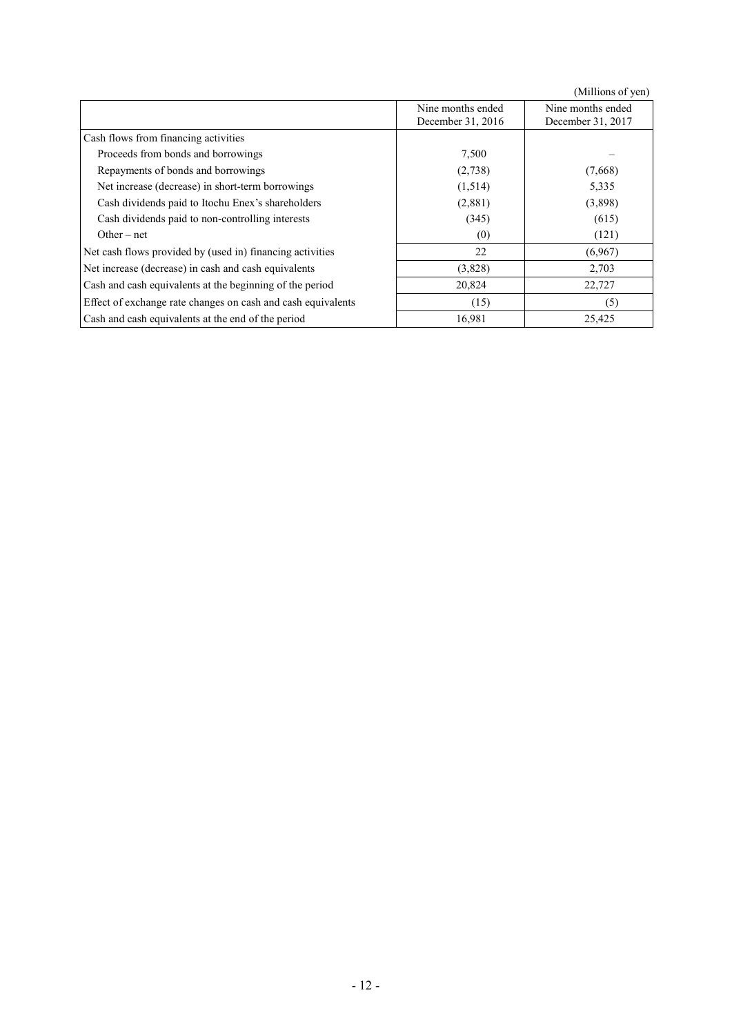(Millions of yen)

|                                                              | Nine months ended<br>December 31, 2016 | Nine months ended<br>December 31, 2017 |
|--------------------------------------------------------------|----------------------------------------|----------------------------------------|
| Cash flows from financing activities                         |                                        |                                        |
| Proceeds from bonds and borrowings                           | 7,500                                  |                                        |
| Repayments of bonds and borrowings                           | (2,738)                                | (7,668)                                |
| Net increase (decrease) in short-term borrowings             | (1,514)                                | 5,335                                  |
| Cash dividends paid to Itochu Enex's shareholders            | (2,881)                                | (3,898)                                |
| Cash dividends paid to non-controlling interests             | (345)                                  | (615)                                  |
| Other $-$ net                                                | (0)                                    | (121)                                  |
| Net cash flows provided by (used in) financing activities    | 22                                     | (6,967)                                |
| Net increase (decrease) in cash and cash equivalents         | (3,828)                                | 2,703                                  |
| Cash and cash equivalents at the beginning of the period     | 20,824                                 | 22,727                                 |
| Effect of exchange rate changes on cash and cash equivalents | (15)                                   | (5)                                    |
| Cash and cash equivalents at the end of the period           | 16,981                                 | 25,425                                 |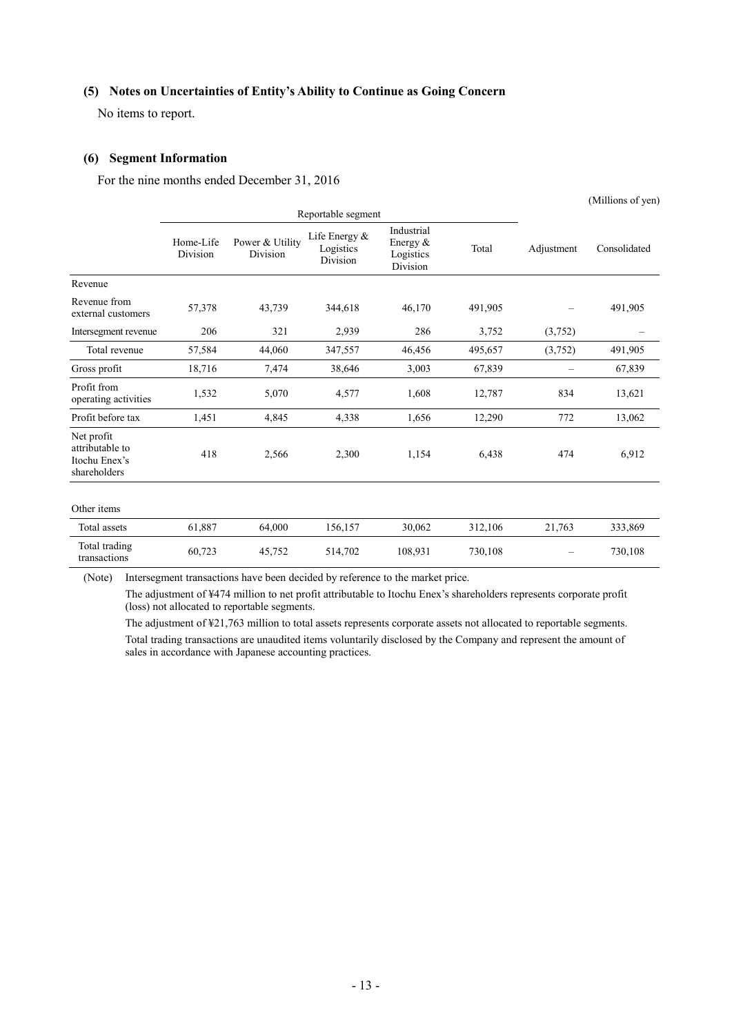### **(5) Notes on Uncertainties of Entity's Ability to Continue as Going Concern**

No items to report.

#### **(6) Segment Information**

For the nine months ended December 31, 2016

|                                                                |                       |                             |                                        |                                                    |         |                          | (Millions of yen) |
|----------------------------------------------------------------|-----------------------|-----------------------------|----------------------------------------|----------------------------------------------------|---------|--------------------------|-------------------|
|                                                                |                       |                             | Reportable segment                     |                                                    |         |                          |                   |
|                                                                | Home-Life<br>Division | Power & Utility<br>Division | Life Energy &<br>Logistics<br>Division | Industrial<br>Energy $\&$<br>Logistics<br>Division | Total   | Adjustment               | Consolidated      |
| Revenue                                                        |                       |                             |                                        |                                                    |         |                          |                   |
| Revenue from<br>external customers                             | 57,378                | 43,739                      | 344,618                                | 46,170                                             | 491,905 |                          | 491,905           |
| Intersegment revenue                                           | 206                   | 321                         | 2,939                                  | 286                                                | 3,752   | (3,752)                  |                   |
| Total revenue                                                  | 57,584                | 44,060                      | 347,557                                | 46,456                                             | 495,657 | (3,752)                  | 491,905           |
| Gross profit                                                   | 18,716                | 7,474                       | 38,646                                 | 3,003                                              | 67,839  | $\overline{\phantom{0}}$ | 67,839            |
| Profit from<br>operating activities                            | 1,532                 | 5,070                       | 4,577                                  | 1,608                                              | 12,787  | 834                      | 13,621            |
| Profit before tax                                              | 1,451                 | 4,845                       | 4,338                                  | 1,656                                              | 12,290  | 772                      | 13,062            |
| Net profit<br>attributable to<br>Itochu Enex's<br>shareholders | 418                   | 2,566                       | 2,300                                  | 1,154                                              | 6,438   | 474                      | 6,912             |
| Other items                                                    |                       |                             |                                        |                                                    |         |                          |                   |
| Total assets                                                   | 61,887                | 64,000                      | 156,157                                | 30,062                                             | 312,106 | 21,763                   | 333,869           |
| Total trading<br>transactions                                  | 60,723                | 45,752                      | 514,702                                | 108,931                                            | 730,108 |                          | 730,108           |

(Note) Intersegment transactions have been decided by reference to the market price.

The adjustment of ¥474 million to net profit attributable to Itochu Enex's shareholders represents corporate profit (loss) not allocated to reportable segments.

The adjustment of ¥21,763 million to total assets represents corporate assets not allocated to reportable segments. Total trading transactions are unaudited items voluntarily disclosed by the Company and represent the amount of sales in accordance with Japanese accounting practices.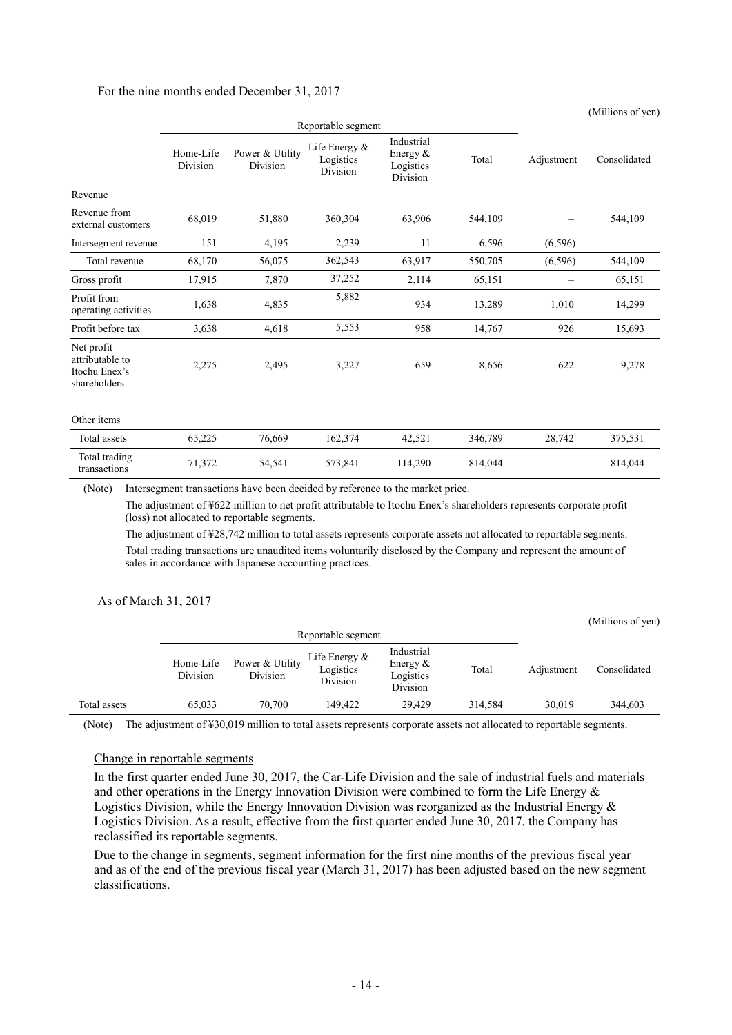### For the nine months ended December 31, 2017

|                                                                |                       |                             |                                        |                                                   |         |            | (Millions of yen) |
|----------------------------------------------------------------|-----------------------|-----------------------------|----------------------------------------|---------------------------------------------------|---------|------------|-------------------|
|                                                                | Reportable segment    |                             |                                        |                                                   |         |            |                   |
|                                                                | Home-Life<br>Division | Power & Utility<br>Division | Life Energy &<br>Logistics<br>Division | Industrial<br>Energy $&$<br>Logistics<br>Division | Total   | Adjustment | Consolidated      |
| Revenue                                                        |                       |                             |                                        |                                                   |         |            |                   |
| Revenue from<br>external customers                             | 68,019                | 51,880                      | 360,304                                | 63,906                                            | 544,109 |            | 544,109           |
| Intersegment revenue                                           | 151                   | 4,195                       | 2,239                                  | 11                                                | 6,596   | (6,596)    |                   |
| Total revenue                                                  | 68,170                | 56,075                      | 362,543                                | 63,917                                            | 550,705 | (6,596)    | 544,109           |
| Gross profit                                                   | 17,915                | 7,870                       | 37,252                                 | 2,114                                             | 65,151  | —          | 65,151            |
| Profit from<br>operating activities                            | 1,638                 | 4,835                       | 5,882                                  | 934                                               | 13,289  | 1,010      | 14,299            |
| Profit before tax                                              | 3,638                 | 4,618                       | 5,553                                  | 958                                               | 14,767  | 926        | 15,693            |
| Net profit<br>attributable to<br>Itochu Enex's<br>shareholders | 2,275                 | 2,495                       | 3,227                                  | 659                                               | 8,656   | 622        | 9,278             |
| Other items                                                    |                       |                             |                                        |                                                   |         |            |                   |
| Total assets                                                   | 65,225                | 76,669                      | 162,374                                | 42,521                                            | 346,789 | 28,742     | 375,531           |
| Total trading<br>transactions                                  | 71,372                | 54,541                      | 573,841                                | 114,290                                           | 814,044 |            | 814,044           |

(Note) Intersegment transactions have been decided by reference to the market price.

The adjustment of ¥622 million to net profit attributable to Itochu Enex's shareholders represents corporate profit (loss) not allocated to reportable segments.

The adjustment of ¥28,742 million to total assets represents corporate assets not allocated to reportable segments. Total trading transactions are unaudited items voluntarily disclosed by the Company and represent the amount of sales in accordance with Japanese accounting practices.

### As of March 31, 2017

|              |                       |                             |                                        |                                                    |         |            | (Millions of yen) |
|--------------|-----------------------|-----------------------------|----------------------------------------|----------------------------------------------------|---------|------------|-------------------|
|              |                       |                             | Reportable segment                     |                                                    |         |            |                   |
|              | Home-Life<br>Division | Power & Utility<br>Division | Life Energy &<br>Logistics<br>Division | Industrial<br>Energy $\&$<br>Logistics<br>Division | Total   | Adjustment | Consolidated      |
| Total assets | 65.033                | 70.700                      | 149.422                                | 29.429                                             | 314.584 | 30.019     | 344.603           |

(Note) The adjustment of ¥30,019 million to total assets represents corporate assets not allocated to reportable segments.

#### Change in reportable segments

In the first quarter ended June 30, 2017, the Car-Life Division and the sale of industrial fuels and materials and other operations in the Energy Innovation Division were combined to form the Life Energy & Logistics Division, while the Energy Innovation Division was reorganized as the Industrial Energy  $\&$ Logistics Division. As a result, effective from the first quarter ended June 30, 2017, the Company has reclassified its reportable segments.

Due to the change in segments, segment information for the first nine months of the previous fiscal year and as of the end of the previous fiscal year (March 31, 2017) has been adjusted based on the new segment classifications.